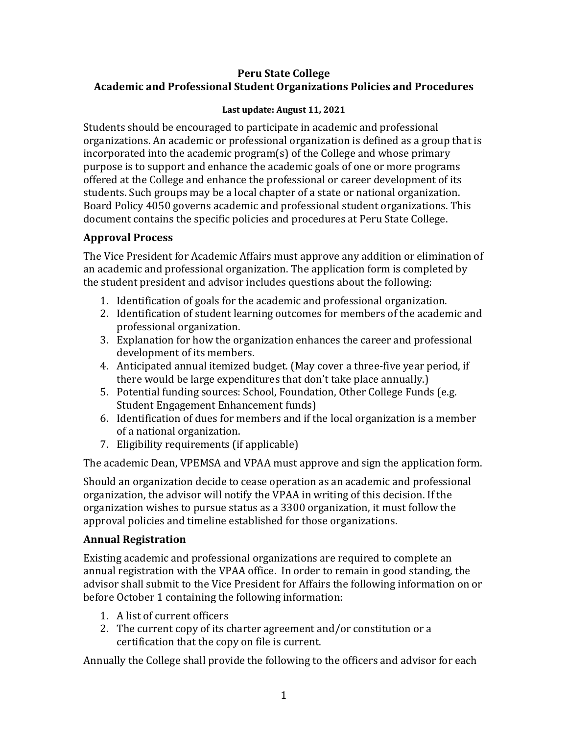#### **Peru State College Academic and Professional Student Organizations Policies and Procedures**

#### **Last update: August 11, 2021**

Students should be encouraged to participate in academic and professional organizations. An academic or professional organization is defined as a group that is incorporated into the academic program(s) of the College and whose primary purpose is to support and enhance the academic goals of one or more programs offered at the College and enhance the professional or career development of its students. Such groups may be a local chapter of a state or national organization. Board Policy 4050 governs academic and professional student organizations. This document contains the specific policies and procedures at Peru State College.

## **Approval Process**

The Vice President for Academic Affairs must approve any addition or elimination of an academic and professional organization. The application form is completed by the student president and advisor includes questions about the following:

- 1. Identification of goals for the academic and professional organization.
- 2. Identification of student learning outcomes for members of the academic and professional organization.
- 3. Explanation for how the organization enhances the career and professional development of its members.
- 4. Anticipated annual itemized budget. (May cover a three-five year period, if there would be large expenditures that don't take place annually.)
- 5. Potential funding sources: School, Foundation, Other College Funds (e.g. Student Engagement Enhancement funds)
- 6. Identification of dues for members and if the local organization is a member of a national organization.
- 7. Eligibility requirements (if applicable)

The academic Dean, VPEMSA and VPAA must approve and sign the application form.

Should an organization decide to cease operation as an academic and professional organization, the advisor will notify the VPAA in writing of this decision. If the organization wishes to pursue status as a 3300 organization, it must follow the approval policies and timeline established for those organizations.

## **Annual Registration**

Existing academic and professional organizations are required to complete an annual registration with the VPAA office. In order to remain in good standing, the advisor shall submit to the Vice President for Affairs the following information on or before October 1 containing the following information:

- 1. A list of current officers
- 2. The current copy of its charter agreement and/or constitution or a certification that the copy on file is current.

Annually the College shall provide the following to the officers and advisor for each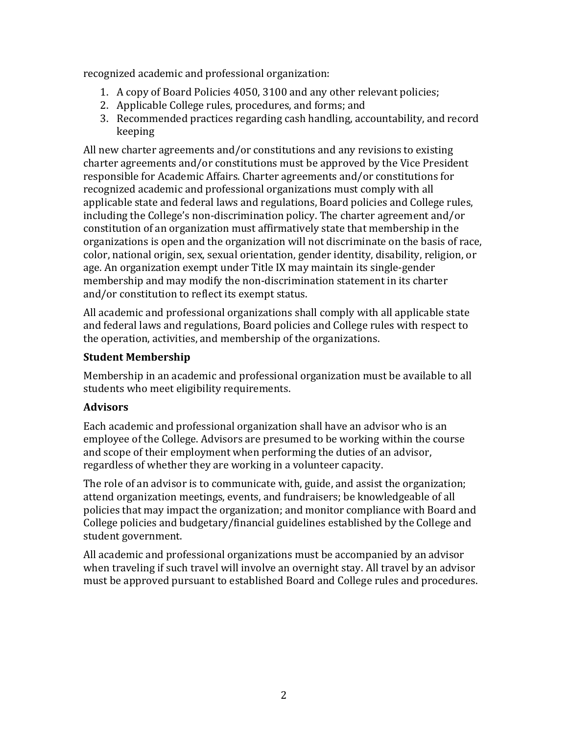recognized academic and professional organization:

- 1. A copy of Board Policies 4050, 3100 and any other relevant policies;
- 2. Applicable College rules, procedures, and forms; and
- 3. Recommended practices regarding cash handling, accountability, and record keeping

All new charter agreements and/or constitutions and any revisions to existing charter agreements and/or constitutions must be approved by the Vice President responsible for Academic Affairs. Charter agreements and/or constitutions for recognized academic and professional organizations must comply with all applicable state and federal laws and regulations, Board policies and College rules, including the College's non-discrimination policy. The charter agreement and/or constitution of an organization must affirmatively state that membership in the organizations is open and the organization will not discriminate on the basis of race, color, national origin, sex, sexual orientation, gender identity, disability, religion, or age. An organization exempt under Title IX may maintain its single-gender membership and may modify the non-discrimination statement in its charter and/or constitution to reflect its exempt status.

All academic and professional organizations shall comply with all applicable state and federal laws and regulations, Board policies and College rules with respect to the operation, activities, and membership of the organizations.

# **Student Membership**

Membership in an academic and professional organization must be available to all students who meet eligibility requirements.

## **Advisors**

Each academic and professional organization shall have an advisor who is an employee of the College. Advisors are presumed to be working within the course and scope of their employment when performing the duties of an advisor, regardless of whether they are working in a volunteer capacity.

The role of an advisor is to communicate with, guide, and assist the organization; attend organization meetings, events, and fundraisers; be knowledgeable of all policies that may impact the organization; and monitor compliance with Board and College policies and budgetary/financial guidelines established by the College and student government.

All academic and professional organizations must be accompanied by an advisor when traveling if such travel will involve an overnight stay. All travel by an advisor must be approved pursuant to established Board and College rules and procedures.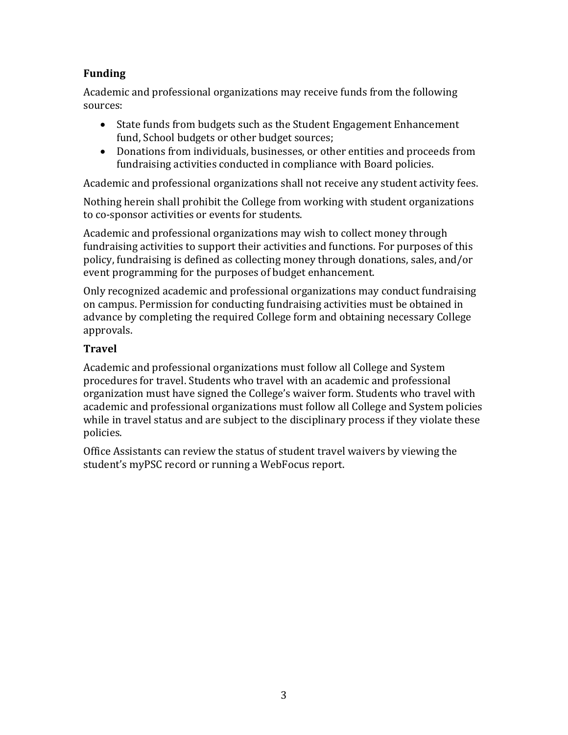# **Funding**

Academic and professional organizations may receive funds from the following sources:

- · State funds from budgets such as the Student Engagement Enhancement fund, School budgets or other budget sources;
- · Donations from individuals, businesses, or other entities and proceeds from fundraising activities conducted in compliance with Board policies.

Academic and professional organizations shall not receive any student activity fees.

Nothing herein shall prohibit the College from working with student organizations to co-sponsor activities or events for students.

Academic and professional organizations may wish to collect money through fundraising activities to support their activities and functions. For purposes of this policy, fundraising is defined as collecting money through donations, sales, and/or event programming for the purposes of budget enhancement.

Only recognized academic and professional organizations may conduct fundraising on campus. Permission for conducting fundraising activities must be obtained in advance by completing the required College form and obtaining necessary College approvals.

# **Travel**

Academic and professional organizations must follow all College and System procedures for travel. Students who travel with an academic and professional organization must have signed the College's waiver form. Students who travel with academic and professional organizations must follow all College and System policies while in travel status and are subject to the disciplinary process if they violate these policies.

Office Assistants can review the status of student travel waivers by viewing the student's myPSC record or running a WebFocus report.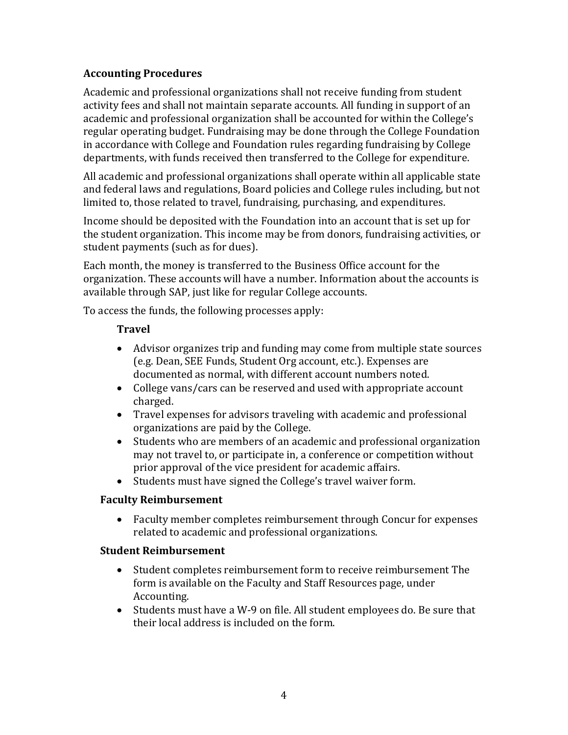## **Accounting Procedures**

Academic and professional organizations shall not receive funding from student activity fees and shall not maintain separate accounts. All funding in support of an academic and professional organization shall be accounted for within the College's regular operating budget. Fundraising may be done through the College Foundation in accordance with College and Foundation rules regarding fundraising by College departments, with funds received then transferred to the College for expenditure.

All academic and professional organizations shall operate within all applicable state and federal laws and regulations, Board policies and College rules including, but not limited to, those related to travel, fundraising, purchasing, and expenditures.

Income should be deposited with the Foundation into an account that is set up for the student organization. This income may be from donors, fundraising activities, or student payments (such as for dues).

Each month, the money is transferred to the Business Office account for the organization. These accounts will have a number. Information about the accounts is available through SAP, just like for regular College accounts.

To access the funds, the following processes apply:

## **Travel**

- · Advisor organizes trip and funding may come from multiple state sources (e.g. Dean, SEE Funds, Student Org account, etc.). Expenses are documented as normal, with different account numbers noted.
- · College vans/cars can be reserved and used with appropriate account charged.
- · Travel expenses for advisors traveling with academic and professional organizations are paid by the College.
- · Students who are members of an academic and professional organization may not travel to, or participate in, a conference or competition without prior approval of the vice president for academic affairs.
- · Students must have signed the College's travel waiver form.

## **Faculty Reimbursement**

· Faculty member completes reimbursement through Concur for expenses related to academic and professional organizations.

## **Student Reimbursement**

- · Student completes reimbursement form to receive reimbursement The form is available on the Faculty and Staff Resources page, under Accounting.
- · Students must have a W-9 on file. All student employees do. Be sure that their local address is included on the form.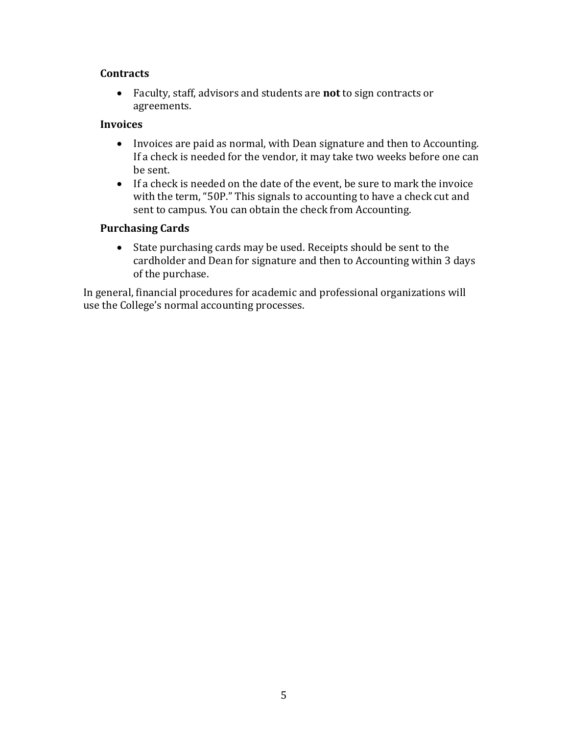#### **Contracts**

· Faculty, staff, advisors and students are **not** to sign contracts or agreements.

#### **Invoices**

- · Invoices are paid as normal, with Dean signature and then to Accounting. If a check is needed for the vendor, it may take two weeks before one can be sent.
- · If a check is needed on the date of the event, be sure to mark the invoice with the term, "50P." This signals to accounting to have a check cut and sent to campus. You can obtain the check from Accounting.

## **Purchasing Cards**

· State purchasing cards may be used. Receipts should be sent to the cardholder and Dean for signature and then to Accounting within 3 days of the purchase.

In general, financial procedures for academic and professional organizations will use the College's normal accounting processes.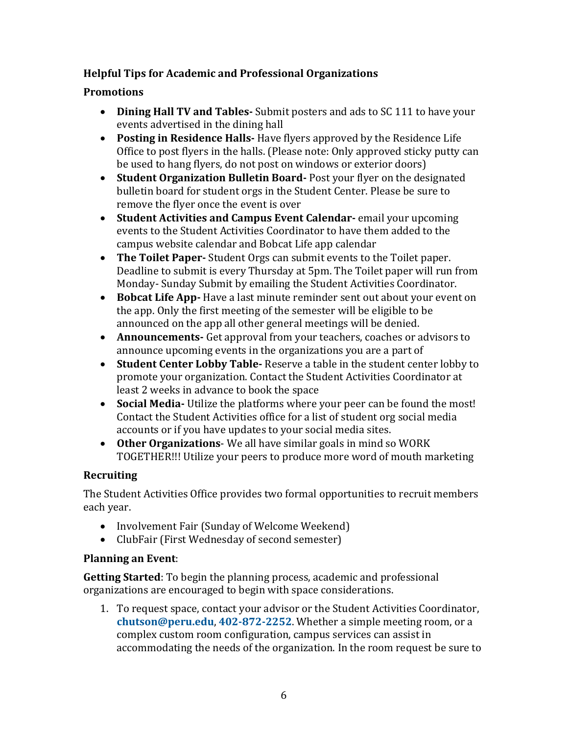# **Helpful Tips for Academic and Professional Organizations**

# **Promotions**

- · **Dining Hall TV and Tables-** Submit posters and ads to SC 111 to have your events advertised in the dining hall
- · **Posting in Residence Halls-** Have flyers approved by the Residence Life Office to post flyers in the halls. (Please note: Only approved sticky putty can be used to hang flyers, do not post on windows or exterior doors)
- · **Student Organization Bulletin Board-** Post your flyer on the designated bulletin board for student orgs in the Student Center. Please be sure to remove the flyer once the event is over
- · **Student Activities and Campus Event Calendar-** email your upcoming events to the Student Activities Coordinator to have them added to the campus website calendar and Bobcat Life app calendar
- · **The Toilet Paper-** Student Orgs can submit events to the Toilet paper. Deadline to submit is every Thursday at 5pm. The Toilet paper will run from Monday- Sunday Submit by emailing the Student Activities Coordinator.
- · **Bobcat Life App-** Have a last minute reminder sent out about your event on the app. Only the first meeting of the semester will be eligible to be announced on the app all other general meetings will be denied.
- · **Announcements-** Get approval from your teachers, coaches or advisors to announce upcoming events in the organizations you are a part of
- · **Student Center Lobby Table-** Reserve a table in the student center lobby to promote your organization. Contact the Student Activities Coordinator at least 2 weeks in advance to book the space
- · **Social Media-** Utilize the platforms where your peer can be found the most! Contact the Student Activities office for a list of student org social media accounts or if you have updates to your social media sites.
- · **Other Organizations** We all have similar goals in mind so WORK TOGETHER!!! Utilize your peers to produce more word of mouth marketing

# **Recruiting**

The Student Activities Office provides two formal opportunities to recruit members each year.

- · Involvement Fair (Sunday of Welcome Weekend)
- · ClubFair (First Wednesday of second semester)

## **Planning an Event**:

**Getting Started**: To begin the planning process, academic and professional organizations are encouraged to begin with space considerations.

1. To request space, contact your advisor or the Student Activities Coordinator, **[chutson@peru.edu](mailto:chutson@peru.edu)**, **[402-872-2252](tel:402-872-2252)**. Whether a simple meeting room, or a complex custom room configuration, campus services can assist in accommodating the needs of the organization. In the room request be sure to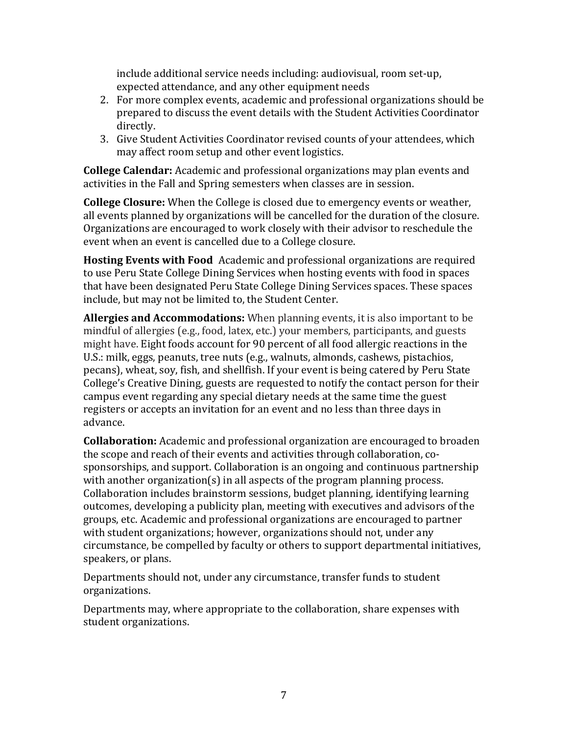include additional service needs including: audiovisual, room set-up, expected attendance, and any other equipment needs

- 2. For more complex events, academic and professional organizations should be prepared to discuss the event details with the Student Activities Coordinator directly.
- 3. Give Student Activities Coordinator revised counts of your attendees, which may affect room setup and other event logistics.

**College Calendar:** Academic and professional organizations may plan events and activities in the Fall and Spring semesters when classes are in session.

**College Closure:** When the College is closed due to emergency events or weather, all events planned by organizations will be cancelled for the duration of the closure. Organizations are encouraged to work closely with their advisor to reschedule the event when an event is cancelled due to a College closure.

**Hosting Events with Food:** Academic and professional organizations are required to use Peru State College Dining Services when hosting events with food in spaces that have been designated Peru State College Dining Services spaces. These spaces include, but may not be limited to, the Student Center.

**Allergies and Accommodations:** When planning events, it is also important to be mindful of allergies (e.g., food, latex, etc.) your members, participants, and guests might have. Eight foods account for 90 percent of all food allergic reactions in the U.S.: milk, eggs, peanuts, tree nuts (e.g., walnuts, almonds, cashews, pistachios, pecans), wheat, soy, fish, and shellfish. If your event is being catered by Peru State College's Creative Dining, guests are requested to notify the contact person for their campus event regarding any special dietary needs at the same time the guest registers or accepts an invitation for an event and no less than three days in advance.

**Collaboration:** Academic and professional organization are encouraged to broaden the scope and reach of their events and activities through collaboration, cosponsorships, and support. Collaboration is an ongoing and continuous partnership with another organization(s) in all aspects of the program planning process. Collaboration includes brainstorm sessions, budget planning, identifying learning outcomes, developing a publicity plan, meeting with executives and advisors of the groups, etc. Academic and professional organizations are encouraged to partner with student organizations; however, organizations should not, under any circumstance, be compelled by faculty or others to support departmental initiatives, speakers, or plans.

Departments should not, under any circumstance, transfer funds to student organizations.

Departments may, where appropriate to the collaboration, share expenses with student organizations.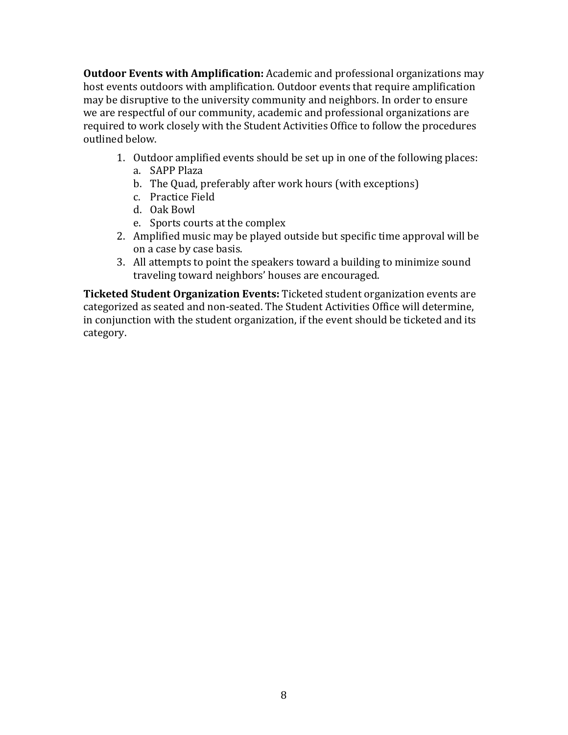**Outdoor Events with Amplification:** Academic and professional organizations may host events outdoors with amplification. Outdoor events that require amplification may be disruptive to the university community and neighbors. In order to ensure we are respectful of our community, academic and professional organizations are required to work closely with the Student Activities Office to follow the procedures outlined below.

- 1. Outdoor amplified events should be set up in one of the following places:
	- a. SAPP Plaza
	- b. The Quad, preferably after work hours (with exceptions)
	- c. Practice Field
	- d. Oak Bowl
	- e. Sports courts at the complex
- 2. Amplified music may be played outside but specific time approval will be on a case by case basis.
- 3. All attempts to point the speakers toward a building to minimize sound traveling toward neighbors' houses are encouraged.

**Ticketed Student Organization Events:** Ticketed student organization events are categorized as seated and non-seated. The Student Activities Office will determine, in conjunction with the student organization, if the event should be ticketed and its category.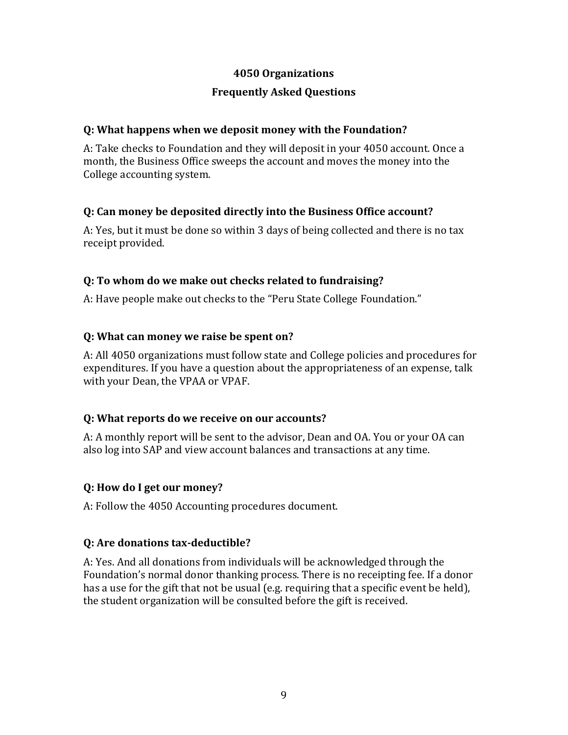#### **4050 Organizations**

## **Frequently Asked Questions**

#### **Q: What happens when we deposit money with the Foundation?**

A: Take checks to Foundation and they will deposit in your 4050 account. Once a month, the Business Office sweeps the account and moves the money into the College accounting system.

## **Q: Can money be deposited directly into the Business Office account?**

A: Yes, but it must be done so within 3 days of being collected and there is no tax receipt provided.

#### **Q: To whom do we make out checks related to fundraising?**

A: Have people make out checks to the "Peru State College Foundation."

## **Q: What can money we raise be spent on?**

A: All 4050 organizations must follow state and College policies and procedures for expenditures. If you have a question about the appropriateness of an expense, talk with your Dean, the VPAA or VPAF.

## **Q: What reports do we receive on our accounts?**

A: A monthly report will be sent to the advisor, Dean and OA. You or your OA can also log into SAP and view account balances and transactions at any time.

#### **Q: How do I get our money?**

A: Follow the 4050 Accounting procedures document.

## **Q: Are donations tax-deductible?**

A: Yes. And all donations from individuals will be acknowledged through the Foundation's normal donor thanking process. There is no receipting fee. If a donor has a use for the gift that not be usual (e.g. requiring that a specific event be held), the student organization will be consulted before the gift is received.